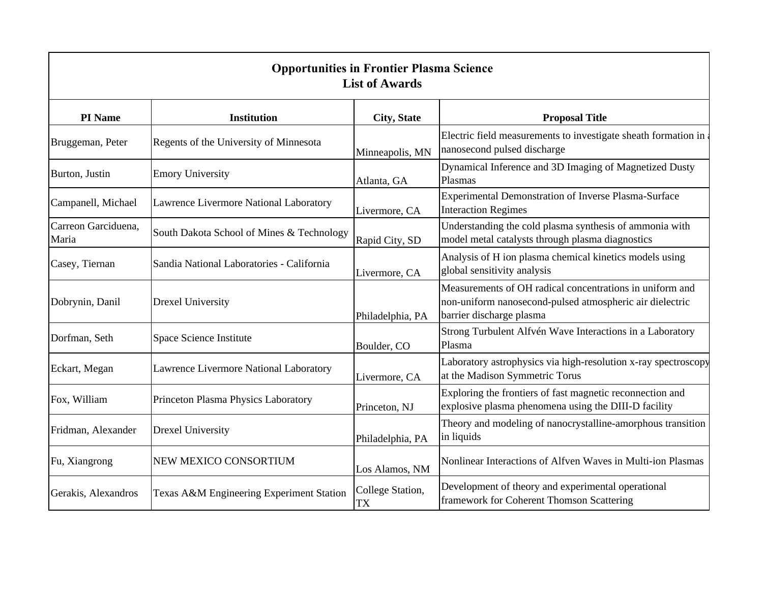| <b>Opportunities in Frontier Plasma Science</b><br><b>List of Awards</b> |                                           |                        |                                                                                                                                                  |  |  |  |
|--------------------------------------------------------------------------|-------------------------------------------|------------------------|--------------------------------------------------------------------------------------------------------------------------------------------------|--|--|--|
| PI Name                                                                  | <b>Institution</b>                        | <b>City, State</b>     | <b>Proposal Title</b>                                                                                                                            |  |  |  |
| Bruggeman, Peter                                                         | Regents of the University of Minnesota    | Minneapolis, MN        | Electric field measurements to investigate sheath formation in<br>nanosecond pulsed discharge                                                    |  |  |  |
| Burton, Justin                                                           | <b>Emory University</b>                   | Atlanta, GA            | Dynamical Inference and 3D Imaging of Magnetized Dusty<br>Plasmas                                                                                |  |  |  |
| Campanell, Michael                                                       | Lawrence Livermore National Laboratory    | Livermore, CA          | Experimental Demonstration of Inverse Plasma-Surface<br><b>Interaction Regimes</b>                                                               |  |  |  |
| Carreon Garciduena,<br>Maria                                             | South Dakota School of Mines & Technology | Rapid City, SD         | Understanding the cold plasma synthesis of ammonia with<br>model metal catalysts through plasma diagnostics                                      |  |  |  |
| Casey, Tiernan                                                           | Sandia National Laboratories - California | Livermore, CA          | Analysis of H ion plasma chemical kinetics models using<br>global sensitivity analysis                                                           |  |  |  |
| Dobrynin, Danil                                                          | <b>Drexel University</b>                  | Philadelphia, PA       | Measurements of OH radical concentrations in uniform and<br>non-uniform nanosecond-pulsed atmospheric air dielectric<br>barrier discharge plasma |  |  |  |
| Dorfman, Seth                                                            | Space Science Institute                   | Boulder, CO            | Strong Turbulent Alfvén Wave Interactions in a Laboratory<br>Plasma                                                                              |  |  |  |
| Eckart, Megan                                                            | Lawrence Livermore National Laboratory    | Livermore, CA          | Laboratory astrophysics via high-resolution x-ray spectroscopy<br>at the Madison Symmetric Torus                                                 |  |  |  |
| Fox, William                                                             | Princeton Plasma Physics Laboratory       | Princeton, NJ          | Exploring the frontiers of fast magnetic reconnection and<br>explosive plasma phenomena using the DIII-D facility                                |  |  |  |
| Fridman, Alexander                                                       | <b>Drexel University</b>                  | Philadelphia, PA       | Theory and modeling of nanocrystalline-amorphous transition<br>in liquids                                                                        |  |  |  |
| Fu, Xiangrong                                                            | NEW MEXICO CONSORTIUM                     | Los Alamos, NM         | Nonlinear Interactions of Alfven Waves in Multi-ion Plasmas                                                                                      |  |  |  |
| Gerakis, Alexandros                                                      | Texas A&M Engineering Experiment Station  | College Station,<br>TX | Development of theory and experimental operational<br>framework for Coherent Thomson Scattering                                                  |  |  |  |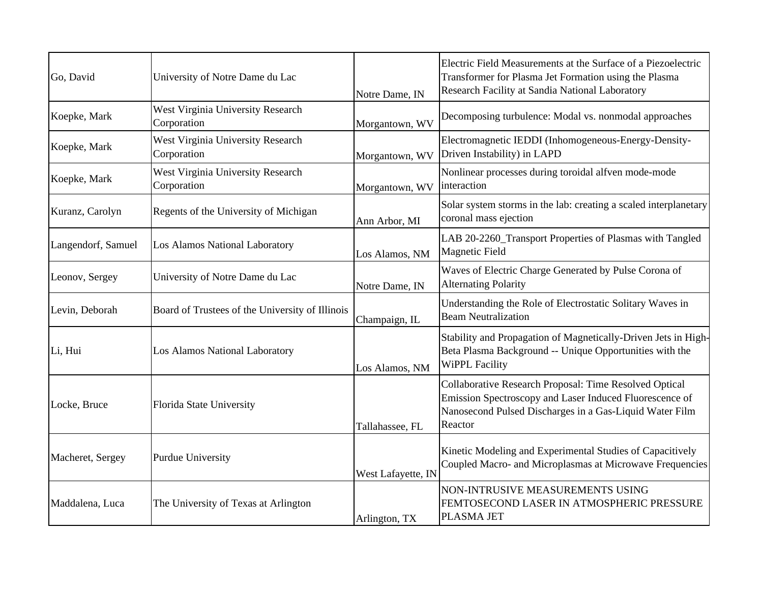| Go, David          | University of Notre Dame du Lac                         | Notre Dame, IN     | Electric Field Measurements at the Surface of a Piezoelectric<br>Transformer for Plasma Jet Formation using the Plasma<br>Research Facility at Sandia National Laboratory               |
|--------------------|---------------------------------------------------------|--------------------|-----------------------------------------------------------------------------------------------------------------------------------------------------------------------------------------|
| Koepke, Mark       | West Virginia University Research<br>Corporation        | Morgantown, WV     | Decomposing turbulence: Modal vs. nonmodal approaches                                                                                                                                   |
| Koepke, Mark       | <b>West Virginia University Research</b><br>Corporation | Morgantown, WV     | Electromagnetic IEDDI (Inhomogeneous-Energy-Density-<br>Driven Instability) in LAPD                                                                                                     |
| Koepke, Mark       | West Virginia University Research<br>Corporation        | Morgantown, WV     | Nonlinear processes during toroidal alfven mode-mode<br>interaction                                                                                                                     |
| Kuranz, Carolyn    | Regents of the University of Michigan                   | Ann Arbor, MI      | Solar system storms in the lab: creating a scaled interplanetary<br>coronal mass ejection                                                                                               |
| Langendorf, Samuel | Los Alamos National Laboratory                          | Los Alamos, NM     | LAB 20-2260_Transport Properties of Plasmas with Tangled<br><b>Magnetic Field</b>                                                                                                       |
| Leonov, Sergey     | University of Notre Dame du Lac                         | Notre Dame, IN     | Waves of Electric Charge Generated by Pulse Corona of<br><b>Alternating Polarity</b>                                                                                                    |
| Levin, Deborah     | Board of Trustees of the University of Illinois         | Champaign, IL      | Understanding the Role of Electrostatic Solitary Waves in<br><b>Beam Neutralization</b>                                                                                                 |
| Li, Hui            | Los Alamos National Laboratory                          | Los Alamos, NM     | Stability and Propagation of Magnetically-Driven Jets in High-<br>Beta Plasma Background -- Unique Opportunities with the<br><b>WiPPL Facility</b>                                      |
| Locke, Bruce       | Florida State University                                | Tallahassee, FL    | Collaborative Research Proposal: Time Resolved Optical<br>Emission Spectroscopy and Laser Induced Fluorescence of<br>Nanosecond Pulsed Discharges in a Gas-Liquid Water Film<br>Reactor |
| Macheret, Sergey   | <b>Purdue University</b>                                | West Lafayette, IN | Kinetic Modeling and Experimental Studies of Capacitively<br>Coupled Macro- and Microplasmas at Microwave Frequencies                                                                   |
| Maddalena, Luca    | The University of Texas at Arlington                    | Arlington, TX      | NON-INTRUSIVE MEASUREMENTS USING<br>FEMTOSECOND LASER IN ATMOSPHERIC PRESSURE<br>PLASMA JET                                                                                             |